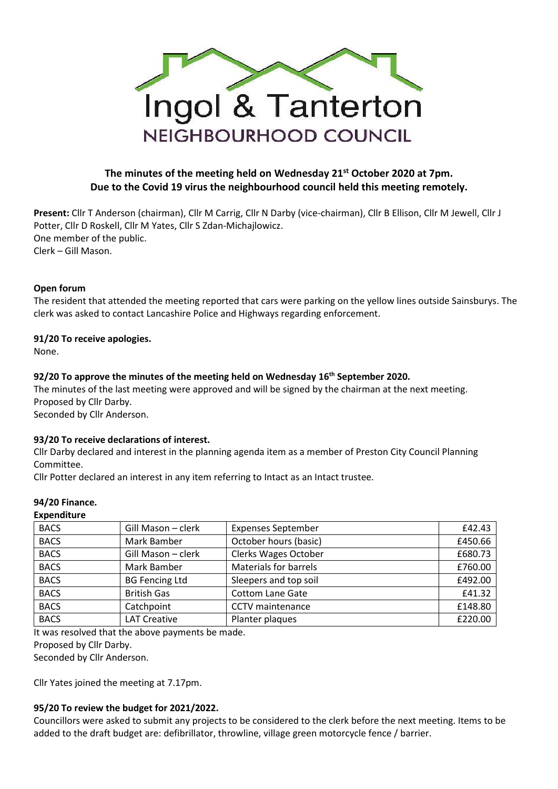

# **The minutes of the meeting held on Wednesday 21st October 2020 at 7pm. Due to the Covid 19 virus the neighbourhood council held this meeting remotely.**

**Present:** Cllr T Anderson (chairman), Cllr M Carrig, Cllr N Darby (vice-chairman), Cllr B Ellison, Cllr M Jewell, Cllr J Potter, Cllr D Roskell, Cllr M Yates, Cllr S Zdan-Michajlowicz. One member of the public. Clerk – Gill Mason.

# **Open forum**

The resident that attended the meeting reported that cars were parking on the yellow lines outside Sainsburys. The clerk was asked to contact Lancashire Police and Highways regarding enforcement.

# **91/20 To receive apologies.**

None.

# **92/20 To approve the minutes of the meeting held on Wednesday 16th September 2020.**

The minutes of the last meeting were approved and will be signed by the chairman at the next meeting. Proposed by Cllr Darby. Seconded by Cllr Anderson.

#### **93/20 To receive declarations of interest.**

Cllr Darby declared and interest in the planning agenda item as a member of Preston City Council Planning Committee.

Cllr Potter declared an interest in any item referring to Intact as an Intact trustee.

#### **94/20 Finance.**

#### **Expenditure**

| <b>BACS</b> | Gill Mason - clerk    | <b>Expenses September</b>    | £42.43  |
|-------------|-----------------------|------------------------------|---------|
| <b>BACS</b> | Mark Bamber           | October hours (basic)        | £450.66 |
| <b>BACS</b> | Gill Mason - clerk    | <b>Clerks Wages October</b>  | £680.73 |
| <b>BACS</b> | Mark Bamber           | <b>Materials for barrels</b> | £760.00 |
| <b>BACS</b> | <b>BG Fencing Ltd</b> | Sleepers and top soil        | £492.00 |
| <b>BACS</b> | <b>British Gas</b>    | <b>Cottom Lane Gate</b>      | £41.32  |
| <b>BACS</b> | Catchpoint            | CCTV maintenance             | £148.80 |
| <b>BACS</b> | <b>LAT Creative</b>   | Planter plaques              | £220.00 |

It was resolved that the above payments be made.

Proposed by Cllr Darby.

Seconded by Cllr Anderson.

Cllr Yates joined the meeting at 7.17pm.

#### **95/20 To review the budget for 2021/2022.**

Councillors were asked to submit any projects to be considered to the clerk before the next meeting. Items to be added to the draft budget are: defibrillator, throwline, village green motorcycle fence / barrier.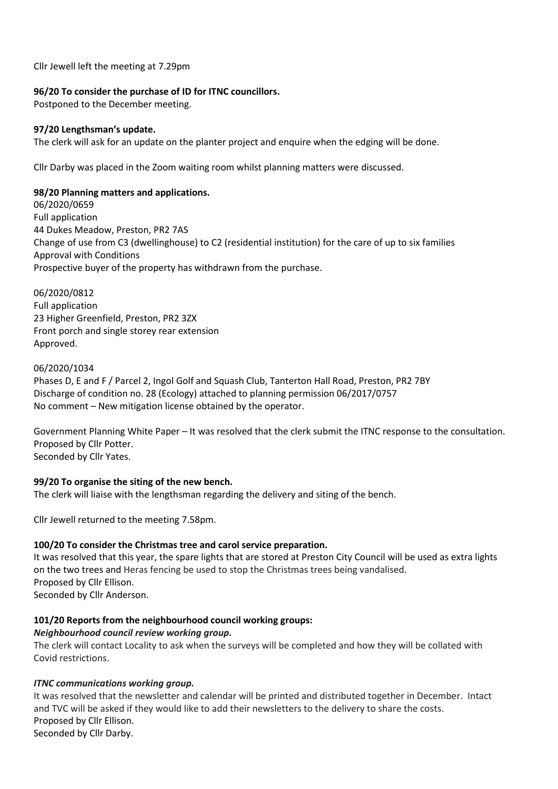Cllr Jewell left the meeting at 7.29pm

#### **96/20 To consider the purchase of ID for ITNC councillors.**

Postponed to the December meeting.

# **97/20 Lengthsman's update.**

The clerk will ask for an update on the planter project and enquire when the edging will be done.

Cllr Darby was placed in the Zoom waiting room whilst planning matters were discussed.

# **98/20 Planning matters and applications.**

06/2020/0659 Full application 44 Dukes Meadow, Preston, PR2 7AS Change of use from C3 (dwellinghouse) to C2 (residential institution) for the care of up to six families Approval with Conditions Prospective buyer of the property has withdrawn from the purchase.

06/2020/0812 Full application 23 Higher Greenfield, Preston, PR2 3ZX Front porch and single storey rear extension Approved.

# 06/2020/1034

Phases D, E and F / Parcel 2, Ingol Golf and Squash Club, Tanterton Hall Road, Preston, PR2 7BY Discharge of condition no. 28 (Ecology) attached to planning permission 06/2017/0757 No comment – New mitigation license obtained by the operator.

Government Planning White Paper – It was resolved that the clerk submit the ITNC response to the consultation. Proposed by Cllr Potter. Seconded by Cllr Yates.

# **99/20 To organise the siting of the new bench.**

The clerk will liaise with the lengthsman regarding the delivery and siting of the bench.

Cllr Jewell returned to the meeting 7.58pm.

#### **100/20 To consider the Christmas tree and carol service preparation.**

It was resolved that this year, the spare lights that are stored at Preston City Council will be used as extra lights on the two trees and Heras fencing be used to stop the Christmas trees being vandalised. Proposed by Cllr Ellison. Seconded by Cllr Anderson.

# **101/20 Reports from the neighbourhood council working groups:**

#### *Neighbourhood council review working group.*

The clerk will contact Locality to ask when the surveys will be completed and how they will be collated with Covid restrictions.

# *ITNC communications working group.*

It was resolved that the newsletter and calendar will be printed and distributed together in December. Intact and TVC will be asked if they would like to add their newsletters to the delivery to share the costs. Proposed by Cllr Ellison. Seconded by Cllr Darby.